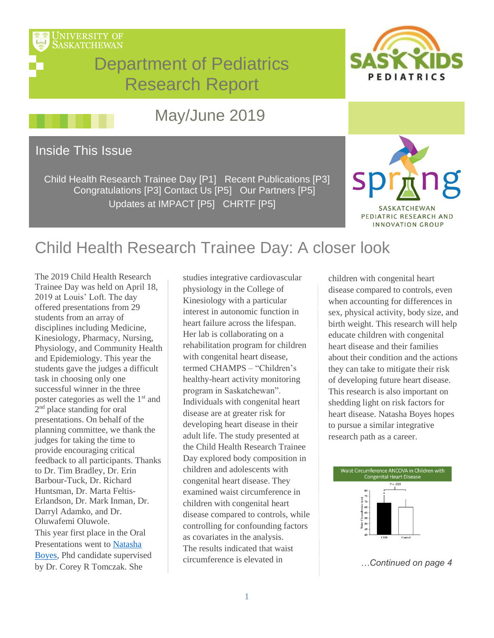



# May/June 2019

### Inside This Issue

Child Health Research Trainee Day [P1] Recent Publications [P3] Congratulations [P3] Contact Us [P5] Our Partners [P5] Updates at IMPACT [P5] CHRTF [P5]



# Child Health Research Trainee Day: A closer look

The 2019 Child Health Research Trainee Day was held on April 18, 2019 at Louis' Loft. The day offered presentations from 29 students from an array of disciplines including Medicine, Kinesiology, Pharmacy, Nursing, Physiology, and Community Health and Epidemiology. This year the students gave the judges a difficult task in choosing only one successful winner in the three poster categories as well the 1<sup>st</sup> and 2<sup>nd</sup> place standing for oral presentations. On behalf of the planning committee, we thank the judges for taking the time to provide encouraging critical feedback to all participants. Thanks to Dr. Tim Bradley, Dr. Erin Barbour-Tuck, Dr. Richard Huntsman, Dr. Marta Feltis-Erlandson, Dr. Mark Inman, Dr. Darryl Adamko, and Dr. Oluwafemi Oluwole. This year first place in the Oral Presentations went to [Natasha](https://medicine.usask.ca/documents/pediatrics/2019%20Child%20Health%20Research%20Traineed%20Day%20Abstract%20Book.pdf)  [Boyes,](https://medicine.usask.ca/documents/pediatrics/2019%20Child%20Health%20Research%20Traineed%20Day%20Abstract%20Book.pdf) Phd candidate supervised by Dr. Corey R Tomczak. She

studies integrative cardiovascular physiology in the College of Kinesiology with a particular interest in autonomic function in heart failure across the lifespan. Her lab is collaborating on a rehabilitation program for children with congenital heart disease, termed CHAMPS – "Children's healthy-heart activity monitoring program in Saskatchewan". Individuals with congenital heart disease are at greater risk for developing heart disease in their adult life. The study presented at the Child Health Research Trainee Day explored body composition in children and adolescents with congenital heart disease. They examined waist circumference in children with congenital heart disease compared to controls, while controlling for confounding factors as covariates in the analysis. The results indicated that waist circumference is elevated in

children with congenital heart disease compared to controls, even when accounting for differences in sex, physical activity, body size, and birth weight. This research will help educate children with congenital heart disease and their families about their condition and the actions they can take to mitigate their risk of developing future heart disease. This research is also important on shedding light on risk factors for heart disease. Natasha Boyes hopes to pursue a similar integrative research path as a career.



*<sup>…</sup>Continued on page 4*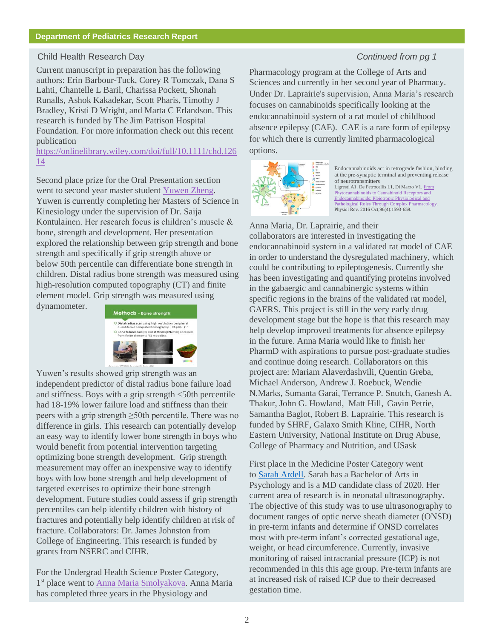#### Child Health Research Day *Continued from pg 1*

Current manuscript in preparation has the following authors: Erin Barbour-Tuck, Corey R Tomczak, Dana S Lahti, Chantelle L Baril, Charissa Pockett, Shonah Runalls, Ashok Kakadekar, Scott Pharis, Timothy J Bradley, Kristi D Wright, and Marta C Erlandson. This research is funded by The Jim Pattison Hospital Foundation. For more information check out this recent publication

[https://onlinelibrary.wiley.com/doi/full/10.1111/chd.126](https://onlinelibrary.wiley.com/doi/full/10.1111/chd.12614) [14](https://onlinelibrary.wiley.com/doi/full/10.1111/chd.12614)

Second place prize for the Oral Presentation section went to second year master student [Yuwen Zheng.](https://medicine.usask.ca/documents/pediatrics/2019%20Child%20Health%20Research%20Traineed%20Day%20Abstract%20Book.pdf) Yuwen is currently completing her Masters of Science in Kinesiology under the supervision of Dr. Saija Kontulainen. Her research focus is children's muscle & bone, strength and development. Her presentation explored the relationship between grip strength and bone strength and specifically if grip strength above or below 50th percentile can differentiate bone strength in children. Distal radius bone strength was measured using high-resolution computed topography (CT) and finite element model. Grip strength was measured using dynamometer.



Yuwen's results showed grip strength was an independent predictor of distal radius bone failure load and stiffness. Boys with a grip strength <50th percentile had 18-19% lower failure load and stiffness than their peers with a grip strength ≥50th percentile. There was no difference in girls. This research can potentially develop an easy way to identify lower bone strength in boys who would benefit from potential intervention targeting optimizing bone strength development. Grip strength measurement may offer an inexpensive way to identify boys with low bone strength and help development of targeted exercises to optimize their bone strength development. Future studies could assess if grip strength percentiles can help identify children with history of fractures and potentially help identify children at risk of fracture. Collaborators: Dr. James Johnston from College of Engineering. This research is funded by grants from NSERC and CIHR.

For the Undergrad Health Science Poster Category, 1<sup>st</sup> place went to [Anna Maria Smolyakova.](https://medicine.usask.ca/documents/pediatrics/newsletter/posters/Smolyakova%20%20Poster.pdf) Anna Maria has completed three years in the Physiology and

Pharmacology program at the College of Arts and Sciences and currently in her second year of Pharmacy. Under Dr. Laprairie's supervision, Anna Maria's research focuses on cannabinoids specifically looking at the endocannabinoid system of a rat model of childhood absence epilepsy (CAE). CAE is a rare form of epilepsy for which there is currently limited pharmacological options.



Endocannabinoids act in retrograde fashion, binding at the pre-synaptic terminal and preventing release of neurotransmitters Ligresti A1, De Petrocellis L1, Di Marzo V1. From<br>Phytocannabinoids to Cannabinoid Receptors and cannabinoids to Cannabinoid Receptors and Endocannabinoids: Pleiotropic Physiological and<br>Pathological Roles Through Complex Pharmacology Pathological Roles Through C Physiol Rev. 2016 Oct;96(4):1593-659.

Anna Maria, Dr. Laprairie, and their collaborators are interested in investigating the endocannabinoid system in a validated rat model of CAE in order to understand the dysregulated machinery, which could be contributing to epileptogenesis. Currently she has been investigating and quantifying proteins involved in the gabaergic and cannabinergic systems within specific regions in the brains of the validated rat model, GAERS. This project is still in the very early drug development stage but the hope is that this research may help develop improved treatments for absence epilepsy in the future. Anna Maria would like to finish her PharmD with aspirations to pursue post-graduate studies and continue doing research. Collaborators on this project are: Mariam Alaverdashvili, Quentin Greba, Michael Anderson, Andrew J. Roebuck, Wendie N.Marks, Sumanta Garai, Terrance P. Snutch, Ganesh A. Thakur, John G. Howland, Matt Hill, Gavin Petrie, Samantha Baglot, Robert B. Laprairie. This research is funded by SHRF, Galaxo Smith Kline, CIHR, North Eastern University, National Institute on Drug Abuse, College of Pharmacy and Nutrition, and USask

First place in the Medicine Poster Category went to [Sarah Ardell.](https://medicine.usask.ca/documents/pediatrics/newsletter/posters/Ardell%20-%20Poster.pdf) Sarah has a Bachelor of Arts in Psychology and is a MD candidate class of 2020. Her current area of research is in neonatal ultrasonography. The objective of this study was to use ultrasonography to document ranges of optic nerve sheath diameter (ONSD) in pre-term infants and determine if ONSD correlates most with pre-term infant's corrected gestational age, weight, or head circumference. Currently, invasive monitoring of raised intracranial pressure (ICP) is not recommended in this this age group. Pre-term infants are at increased risk of raised ICP due to their decreased gestation time.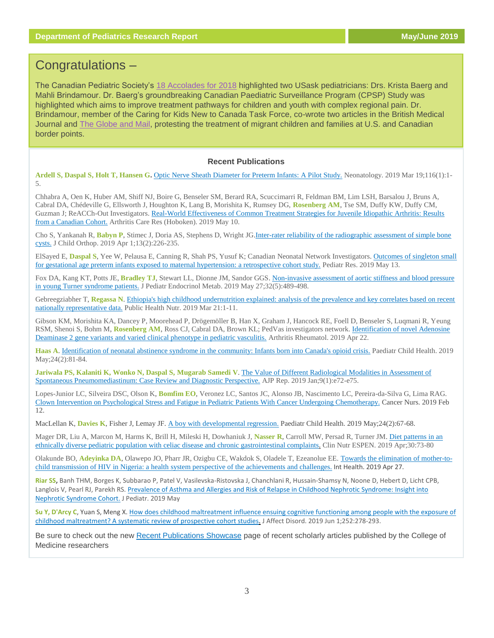## Congratulations –

The Canadian Pediatric Society's [18 Accolades for 2018](https://www.cps.ca/uploads/publications/year_in_review_2018_-_english.pdf) highlighted two USask pediatricians: Drs. Krista Baerg and Mahli Brindamour. Dr. Baerg's groundbreaking Canadian Paediatric Surveillance Program (CPSP) Study was highlighted which aims to improve treatment pathways for children and youth with complex regional pain. Dr. Brindamour, member of the Caring for Kids New to Canada Task Force, co-wrote two articles in the British Medical Journal and [The Globe and Mail,](https://www.theglobeandmail.com/opinion/article-what-we-can-do-for-separated-migrant-children-in-the-us/) protesting the treatment of migrant children and families at U.S. and Canadian border points.

#### **Recent Publications**

**Ardell S, Daspal S, Holt T, Hansen G.** [Optic Nerve Sheath Diameter for Preterm Infants: A Pilot Study.](https://www.ncbi.nlm.nih.gov/pubmed/30889584) Neonatology. 2019 Mar 19;116(1):1- 5.

Chhabra A, Oen K, Huber AM, Shiff NJ, Boire G, Benseler SM, Berard RA, Scuccimarri R, Feldman BM, Lim LSH, Barsalou J, Bruns A, Cabral DA, Chédeville G, Ellsworth J, Houghton K, Lang B, Morishita K, Rumsey DG, **Rosenberg AM**, Tse SM, Duffy KW, Duffy CM, Guzman J; ReACCh-Out Investigators. Real-World Effectiveness of Common Treatment Strategies for Juvenile Idiopathic Arthritis: Results [from a Canadian Cohort.](https://www.ncbi.nlm.nih.gov/pubmed/31074591) Arthritis Care Res (Hoboken). 2019 May 10.

Cho S, Yankanah R, **Babyn P**, Stimec J, Doria AS, Stephens D, Wright JG[.Inter-rater reliability of the radiographic assessment of simple bone](https://www.ncbi.nlm.nih.gov/pubmed/30996749)  [cysts.](https://www.ncbi.nlm.nih.gov/pubmed/30996749) J Child Orthop. 2019 Apr 1;13(2):226-235.

ElSayed E, **Daspal S**, Yee W, Pelausa E, Canning R, Shah PS, Yusuf K; Canadian Neonatal Network Investigators. [Outcomes of singleton small](https://www.ncbi.nlm.nih.gov/pubmed/31086284)  [for gestational age preterm infants exposed to maternal hypertension: a retrospective cohort study.](https://www.ncbi.nlm.nih.gov/pubmed/31086284) Pediatr Res. 2019 May 13.

Fox DA, Kang KT, Potts JE, **Bradley TJ**, Stewart LL, Dionne JM, Sandor GGS. Non-invasive assessment of aortic stiffness and blood pressure [in young Turner syndrome patients.](https://www.ncbi.nlm.nih.gov/pubmed/31042642) J Pediatr Endocrinol Metab. 2019 May 27;32(5):489-498.

Gebreegziabher T, **Regassa N**[. Ethiopia's high childhood undernutrition explained: analysis of the prevalence and key correlates based on recent](https://www.ncbi.nlm.nih.gov/pubmed/30894232)  [nationally representative data.](https://www.ncbi.nlm.nih.gov/pubmed/30894232) Public Health Nutr. 2019 Mar 21:1-11.

Gibson KM, Morishita KA, Dancey P, Moorehead P, Drögemöller B, Han X, Graham J, Hancock RE, Foell D, Benseler S, Luqmani R, Yeung RSM, Shenoi S, Bohm M, **Rosenberg AM**, Ross CJ, Cabral DA, Brown KL; PedVas investigators network[. Identification of novel Adenosine](https://www.ncbi.nlm.nih.gov/pubmed/31008556)  [Deaminase 2 gene variants and varied clinical phenotype in pediatric vasculitis.](https://www.ncbi.nlm.nih.gov/pubmed/31008556) Arthritis Rheumatol. 2019 Apr 22.

**Haas A**[. Identification of neonatal abstinence syndrome in the community: Infants born into Canada's opioid crisis.](https://www.ncbi.nlm.nih.gov/pubmed/30996597) Paediatr Child Health. 2019 May;24(2):81-84.

**Jariwala PS, Kalaniti K, Wonko N, Daspal S, Mugarab Samedi V**[. The Value of Different Radiological Modalities in Assessment of](https://www.ncbi.nlm.nih.gov/pubmed/30854247)  [Spontaneous Pneumomediastinum: Case Review and Diagnostic Perspective.](https://www.ncbi.nlm.nih.gov/pubmed/30854247) AJP Rep. 2019 Jan;9(1):e72-e75.

Lopes-Junior LC, Silveira DSC, Olson K, **Bomfim EO**, Veronez LC, Santos JC, Alonso JB, Nascimento LC, Pereira-da-Silva G, Lima RAG. [Clown Intervention on Psychological Stress and Fatigue in Pediatric Patients With Cancer Undergoing Chemotherapy.](https://www.ncbi.nlm.nih.gov/pubmed/30801267) Cancer Nurs. 2019 Feb 12.

MacLellan K, **Davies K**, Fisher J, Lemay JF[. A boy with developmental regression.](https://www.ncbi.nlm.nih.gov/pubmed/30996592) Paediatr Child Health. 2019 May;24(2):67-68.

Mager DR, Liu A, Marcon M, Harms K, Brill H, Mileski H, Dowhaniuk J, **Nasser R**, Carroll MW, Persad R, Turner JM[. Diet patterns in an](https://www.ncbi.nlm.nih.gov/pubmed/30904232)  [ethnically diverse pediatric population with celiac disease and](https://www.ncbi.nlm.nih.gov/pubmed/30904232) chronic gastrointestinal complaints. Clin Nutr ESPEN. 2019 Apr;30:73-80

Olakunde BO, **Adeyinka DA**, Olawepo JO, Pharr JR, Ozigbu CE, Wakdok S, Oladele T, Ezeanolue EE. [Towards the elimination of mother-to](https://www.ncbi.nlm.nih.gov/pubmed/31028402)child transmission of HIV in Nigeria: a health [system perspective of the achievements and challenges.](https://www.ncbi.nlm.nih.gov/pubmed/31028402) Int Health. 2019 Apr 27.

**Riar SS,** Banh THM, Borges K, Subbarao P, Patel V, Vasilevska-Ristovska J, Chanchlani R, Hussain-Shamsy N, Noone D, Hebert D, Licht CPB, Langlois V, Pearl RJ, Parekh RS. [Prevalence of Asthma and Allergies and Risk of Relapse in Childhood Nephrotic Syndrome: Insight into](https://www.ncbi.nlm.nih.gov/pubmed/30732999)  [Nephrotic Syndrome Cohort.](https://www.ncbi.nlm.nih.gov/pubmed/30732999) J Pediatr. 2019 May

**Su Y, D'Arcy C**, Yuan S, Meng X[. How does childhood maltreatment influence ensuing cognitive functioning among people with the exposure of](https://www.ncbi.nlm.nih.gov/pubmed/30991256)  [childhood maltreatment? A systematic review of](https://www.ncbi.nlm.nih.gov/pubmed/30991256) prospective cohort studies. J Affect Disord. 2019 Jun 1;252:278-293.

Be sure to check out the new [Recent Publications Showcase](https://medicine.usask.ca/research/publications.php#RecentPublicationsShowcase) page of recent scholarly articles published by the College of Medicine researchers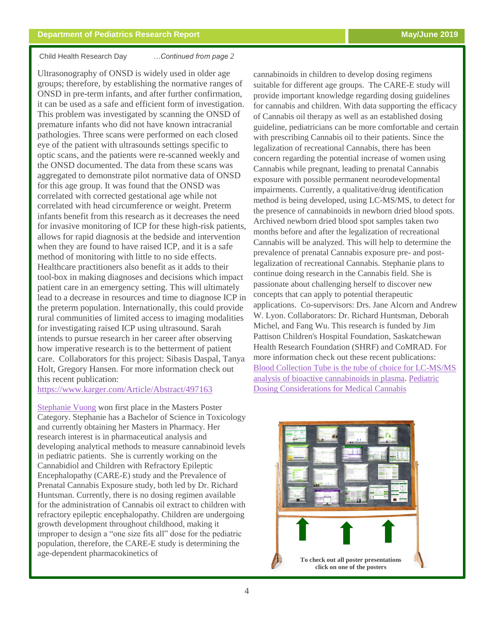#### Child Health Research Day *…Continued from page 2*

Ultrasonography of ONSD is widely used in older age groups; therefore, by establishing the normative ranges of ONSD in pre-term infants, and after further confirmation, it can be used as a safe and efficient form of investigation. This problem was investigated by scanning the ONSD of premature infants who did not have known intracranial pathologies. Three scans were performed on each closed eye of the patient with ultrasounds settings specific to optic scans, and the patients were re-scanned weekly and the ONSD documented. The data from these scans was aggregated to demonstrate pilot normative data of ONSD for this age group. It was found that the ONSD was correlated with corrected gestational age while not correlated with head circumference or weight. Preterm infants benefit from this research as it decreases the need for invasive monitoring of ICP for these high-risk patients, allows for rapid diagnosis at the bedside and intervention when they are found to have raised ICP, and it is a safe method of monitoring with little to no side effects. Healthcare practitioners also benefit as it adds to their tool-box in making diagnoses and decisions which impact patient care in an emergency setting. This will ultimately lead to a decrease in resources and time to diagnose ICP in the preterm population. Internationally, this could provide rural communities of limited access to imaging modalities for investigating raised ICP using ultrasound. Sarah intends to pursue research in her career after observing how imperative research is to the betterment of patient care. Collaborators for this project: Sibasis Daspal, Tanya Holt, Gregory Hansen. For more information check out this recent publication:

### <https://www.karger.com/Article/Abstract/497163>

[Stephanie Vuong](https://medicine.usask.ca/documents/pediatrics/newsletter/posters/Vuong%20-%20Poster.pdf) won first place in the Masters Poster Category. Stephanie has a Bachelor of Science in Toxicology and currently obtaining her Masters in Pharmacy. Her research interest is in pharmaceutical analysis and developing analytical methods to measure cannabinoid levels in pediatric patients. She is currently working on the Cannabidiol and Children with Refractory Epileptic Encephalopathy (CARE-E) study and the Prevalence of Prenatal Cannabis Exposure study, both led by Dr. Richard Huntsman. Currently, there is no dosing regimen available for the administration of Cannabis oil extract to children with refractory epileptic encephalopathy. Children are undergoing growth development throughout childhood, making it improper to design a "one size fits all" dose for the pediatric population, therefore, the CARE-E study is determining the age-dependent pharmacokinetics of

cannabinoids in children to develop dosing regimens suitable for different age groups. The CARE-E study will provide important knowledge regarding dosing guidelines regurang aosing guiter. for cannabis and children. With data supporting the efficacy of Cannabis oil therapy as well as an established dosing guideline, pediatricians can be more comfortable and certain with prescribing Cannabis oil to their patients. Since the legalization of recreational Cannabis, there has been concern regarding the potential increase of women using Cannabis while pregnant, leading to prenatal Cannabis exposure with possible permanent neurodevelopmental impairments. Currently, a qualitative/drug identification method is being developed, using LC-MS/MS, to detect for the presence of cannabinoids in newborn dried blood spots. Archived newborn dried blood spot samples taken two months before and after the legalization of recreational ganzation of recreational Cannabis will be analyzed. This will help to determine the prevalence of prenatal Cannabis exposure pre- and postlegalization of recreational Cannabis. Stephanie plans to continue doing research in the Cannabis field. She is passionate about challenging herself to discover new concepts that can apply to potential therapeutic applications. Co-supervisors: Drs. Jane Alcorn and Andrew W. Lyon. Collaborators: Dr. Richard Huntsman, Deborah Michel, and Fang Wu. This research is funded by Jim Pattison Children's Hospital Foundation, Saskatchewan Health Research Foundation (SHRF) and CoMRAD. For high-risk patients, allows for the contract of the contract of the contract of the more information check out these recent publications: Blood Collection Tube is the tube of choice for LC-MS/MS  $\frac{1}{2}$  and  $\frac{1}{2}$  in the theory. Bediethic  $\frac{\text{analysis of bioactive cannabis in plasma.} \text{Pediatric}}{\text{R}}$ [Dosing Considerations for Medical Cannabis](https://www.intechopen.com/books/recent-advances-in-cannabinoid-research/pediatric-dosing-considerations-for-medical-cannabis)